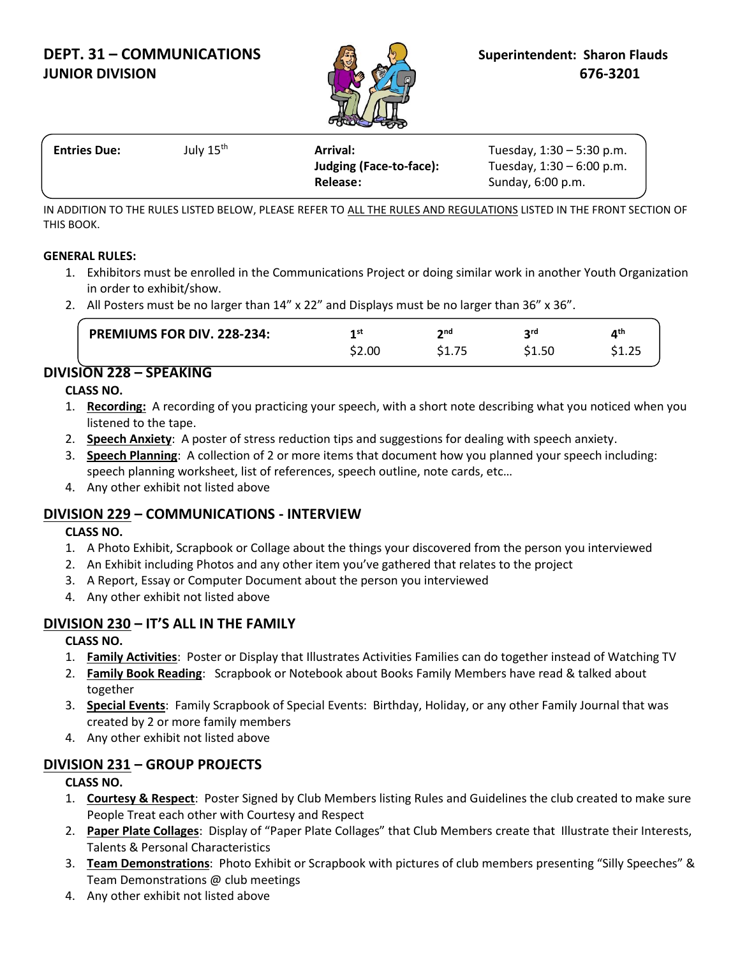# **DEPT. 31 – COMMUNICATIONS A Superintendent: Sharon Flauds JUNIOR DIVISION 676-3201**



| <b>Entries Due:</b> | July 15 <sup>th</sup> | <b>Arrival:</b>         | Tuesday, $1:30 - 5:30$ p.m. |  |
|---------------------|-----------------------|-------------------------|-----------------------------|--|
|                     |                       | Judging (Face-to-face): | Tuesday, $1:30 - 6:00$ p.m. |  |
|                     |                       | Release:                | Sunday, 6:00 p.m.           |  |

IN ADDITION TO THE RULES LISTED BELOW, PLEASE REFER TO ALL THE RULES AND REGULATIONS LISTED IN THE FRONT SECTION OF THIS BOOK.

#### **GENERAL RULES:**

- 1. Exhibitors must be enrolled in the Communications Project or doing similar work in another Youth Organization in order to exhibit/show.
- 2. All Posters must be no larger than 14" x 22" and Displays must be no larger than 36" x 36".

| <b>PREMIUMS FOR DIV. 228-234:</b> | 4 st   | nnd, | ord   | лth |
|-----------------------------------|--------|------|-------|-----|
|                                   | \$2.00 | ---- | 51.50 |     |

# **DIVISION 228 – SPEAKING**

**CLASS NO.**

- 1. **Recording:** A recording of you practicing your speech, with a short note describing what you noticed when you listened to the tape.
- 2. **Speech Anxiety**: A poster of stress reduction tips and suggestions for dealing with speech anxiety.
- 3. **Speech Planning**: A collection of 2 or more items that document how you planned your speech including: speech planning worksheet, list of references, speech outline, note cards, etc…
- 4. Any other exhibit not listed above

# **DIVISION 229 – COMMUNICATIONS - INTERVIEW**

#### **CLASS NO.**

- 1. A Photo Exhibit, Scrapbook or Collage about the things your discovered from the person you interviewed
- 2. An Exhibit including Photos and any other item you've gathered that relates to the project
- 3. A Report, Essay or Computer Document about the person you interviewed
- 4. Any other exhibit not listed above

# **DIVISION 230 – IT'S ALL IN THE FAMILY**

### **CLASS NO.**

- 1. **Family Activities**: Poster or Display that Illustrates Activities Families can do together instead of Watching TV
- 2. **Family Book Reading**: Scrapbook or Notebook about Books Family Members have read & talked about together
- 3. **Special Events**: Family Scrapbook of Special Events: Birthday, Holiday, or any other Family Journal that was created by 2 or more family members
- 4. Any other exhibit not listed above

# **DIVISION 231 – GROUP PROJECTS**

### **CLASS NO.**

- 1. **Courtesy & Respect**: Poster Signed by Club Members listing Rules and Guidelines the club created to make sure People Treat each other with Courtesy and Respect
- 2. **Paper Plate Collages**: Display of "Paper Plate Collages" that Club Members create that Illustrate their Interests, Talents & Personal Characteristics
- 3. **Team Demonstrations**: Photo Exhibit or Scrapbook with pictures of club members presenting "Silly Speeches" & Team Demonstrations @ club meetings
- 4. Any other exhibit not listed above